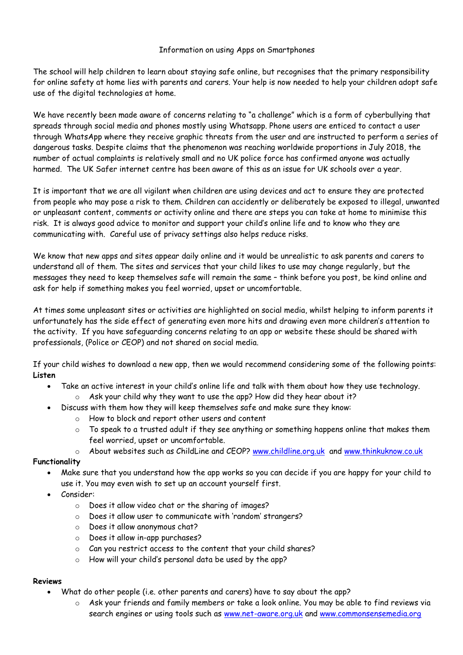#### Information on using Apps on Smartphones

The school will help children to learn about staying safe online, but recognises that the primary responsibility for online safety at home lies with parents and carers. Your help is now needed to help your children adopt safe use of the digital technologies at home.

We have recently been made aware of concerns relating to "a challenge" which is a form of cyberbullying that spreads through social media and phones mostly using Whatsapp. Phone users are enticed to contact a user through WhatsApp where they receive graphic threats from the user and are instructed to perform a series of dangerous tasks. Despite claims that the phenomenon was reaching worldwide proportions in July 2018, the number of actual complaints is relatively small and no UK police force has confirmed anyone was actually harmed. The UK Safer internet centre has been aware of this as an issue for UK schools over a year.

It is important that we are all vigilant when children are using devices and act to ensure they are protected from people who may pose a risk to them. Children can accidently or deliberately be exposed to illegal, unwanted or unpleasant content, comments or activity online and there are steps you can take at home to minimise this risk. It is always good advice to monitor and support your child's online life and to know who they are communicating with. Careful use of privacy settings also helps reduce risks.

We know that new apps and sites appear daily online and it would be unrealistic to ask parents and carers to understand all of them. The sites and services that your child likes to use may change regularly, but the messages they need to keep themselves safe will remain the same – think before you post, be kind online and ask for help if something makes you feel worried, upset or uncomfortable.

At times some unpleasant sites or activities are highlighted on social media, whilst helping to inform parents it unfortunately has the side effect of generating even more hits and drawing even more children's attention to the activity. If you have safeguarding concerns relating to an app or website these should be shared with professionals, (Police or CEOP) and not shared on social media.

If your child wishes to download a new app, then we would recommend considering some of the following points: **Listen**

- Take an active interest in your child's online life and talk with them about how they use technology.
	- $\circ$  Ask your child why they want to use the app? How did they hear about it?
	- Discuss with them how they will keep themselves safe and make sure they know:
		- o How to block and report other users and content
		- o To speak to a trusted adult if they see anything or something happens online that makes them feel worried, upset or uncomfortable.
		- o About websites such as ChildLine and CEOP? [www.childline.org.uk](http://www.childline.org.uk/) and [www.thinkuknow.co.uk](http://www.thinkuknow.co.uk/)

### **Functionality**

- Make sure that you understand how the app works so you can decide if you are happy for your child to use it. You may even wish to set up an account yourself first.
- Consider:
	- o Does it allow video chat or the sharing of images?
	- o Does it allow user to communicate with 'random' strangers?
	- o Does it allow anonymous chat?
	- o Does it allow in-app purchases?
	- o Can you restrict access to the content that your child shares?
	- o How will your child's personal data be used by the app?

### **Reviews**

- What do other people (i.e. other parents and carers) have to say about the app?
	- o Ask your friends and family members or take a look online. You may be able to find reviews via search engines or using tools such as [www.net-aware.org.uk](http://www.net-aware.org.uk/) and [www.commonsensemedia.org](http://www.commonsensemedia.org/)